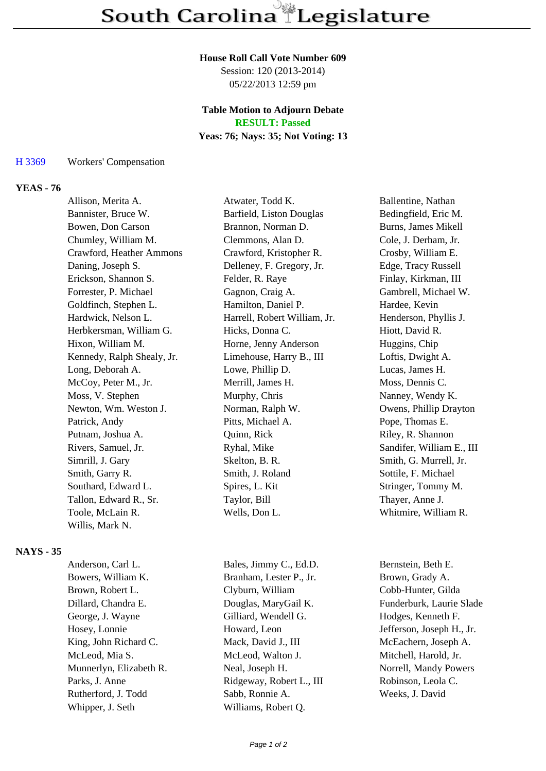#### **House Roll Call Vote Number 609**

Session: 120 (2013-2014) 05/22/2013 12:59 pm

# **Table Motion to Adjourn Debate**

**RESULT: Passed**

# **Yeas: 76; Nays: 35; Not Voting: 13**

#### H 3369 Workers' Compensation

# **YEAS - 76**

| Allison, Merita A.         | Atwater, Todd K.             | Ballentine, Nathan        |
|----------------------------|------------------------------|---------------------------|
| Bannister, Bruce W.        | Barfield, Liston Douglas     | Bedingfield, Eric M.      |
| Bowen, Don Carson          | Brannon, Norman D.           | Burns, James Mikell       |
| Chumley, William M.        | Clemmons, Alan D.            | Cole, J. Derham, Jr.      |
| Crawford, Heather Ammons   | Crawford, Kristopher R.      | Crosby, William E.        |
| Daning, Joseph S.          | Delleney, F. Gregory, Jr.    | Edge, Tracy Russell       |
| Erickson, Shannon S.       | Felder, R. Raye              | Finlay, Kirkman, III      |
| Forrester, P. Michael      | Gagnon, Craig A.             | Gambrell, Michael W.      |
| Goldfinch, Stephen L.      | Hamilton, Daniel P.          | Hardee, Kevin             |
| Hardwick, Nelson L.        | Harrell, Robert William, Jr. | Henderson, Phyllis J.     |
| Herbkersman, William G.    | Hicks, Donna C.              | Hiott, David R.           |
| Hixon, William M.          | Horne, Jenny Anderson        | Huggins, Chip             |
| Kennedy, Ralph Shealy, Jr. | Limehouse, Harry B., III     | Loftis, Dwight A.         |
| Long, Deborah A.           | Lowe, Phillip D.             | Lucas, James H.           |
| McCoy, Peter M., Jr.       | Merrill, James H.            | Moss, Dennis C.           |
| Moss, V. Stephen           | Murphy, Chris                | Nanney, Wendy K.          |
| Newton, Wm. Weston J.      | Norman, Ralph W.             | Owens, Phillip Drayton    |
| Patrick, Andy              | Pitts, Michael A.            | Pope, Thomas E.           |
| Putnam, Joshua A.          | Quinn, Rick                  | Riley, R. Shannon         |
| Rivers, Samuel, Jr.        | Ryhal, Mike                  | Sandifer, William E., III |
| Simrill, J. Gary           | Skelton, B. R.               | Smith, G. Murrell, Jr.    |
| Smith, Garry R.            | Smith, J. Roland             | Sottile, F. Michael       |
| Southard, Edward L.        | Spires, L. Kit               | Stringer, Tommy M.        |
| Tallon, Edward R., Sr.     | Taylor, Bill                 | Thayer, Anne J.           |
| Toole, McLain R.           | Wells, Don L.                | Whitmire, William R.      |
| Willis, Mark N.            |                              |                           |

### **NAYS - 35**

| Anderson, Carl L.       | Bales, Jimmy C., Ed.D.   |
|-------------------------|--------------------------|
| Bowers, William K.      | Branham, Lester P., Jr.  |
| Brown, Robert L.        | Clyburn, William         |
| Dillard, Chandra E.     | Douglas, MaryGail K.     |
| George, J. Wayne        | Gilliard, Wendell G.     |
| Hosey, Lonnie           | Howard, Leon             |
| King, John Richard C.   | Mack, David J., III      |
| McLeod, Mia S.          | McLeod, Walton J.        |
| Munnerlyn, Elizabeth R. | Neal, Joseph H.          |
| Parks, J. Anne          | Ridgeway, Robert L., III |
| Rutherford, J. Todd     | Sabb, Ronnie A.          |
| Whipper, J. Seth        | Williams, Robert Q.      |

Bernstein, Beth E. Brown, Grady A. Cobb-Hunter, Gilda Funderburk, Laurie Slade Hodges, Kenneth F. Jefferson, Joseph H., Jr. McEachern, Joseph A. Mitchell, Harold, Jr. Norrell, Mandy Powers Robinson, Leola C. Weeks, J. David